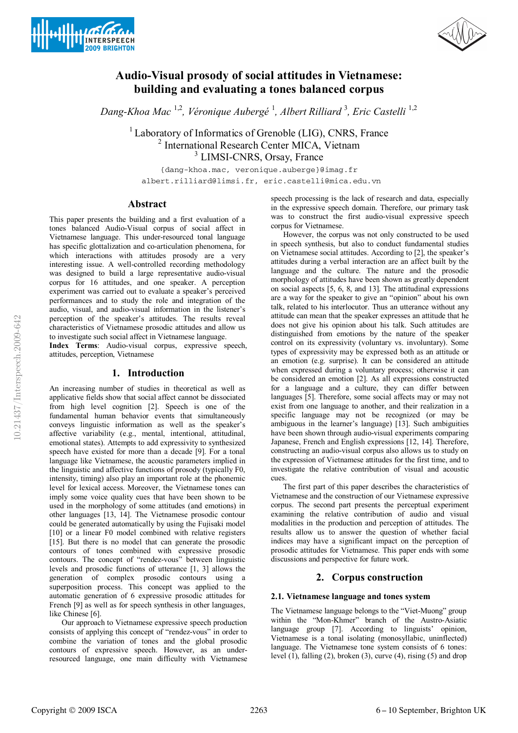



# **Audio-Visual prosody of social attitudes in Vietnamese: building and evaluating a tones balanced corpus**

*Dang-Khoa Mac* 1,2*, Véronique Aubergé* <sup>1</sup> *, Albert Rilliard* <sup>3</sup> *, Eric Castelli* 1,2

 $<sup>1</sup>$  Laboratory of Informatics of Grenoble (LIG), CNRS, France</sup> 2 International Research Center MICA, Vietnam 3 LIMSI-CNRS, Orsay, France

{dang-khoa.mac, veronique.auberge}@imag.fr albert.rilliard@limsi.fr, eric.castelli@mica.edu.vn

# **Abstract**

This paper presents the building and a first evaluation of a tones balanced Audio-Visual corpus of social affect in Vietnamese language. This under-resourced tonal language has specific glottalization and co-articulation phenomena, for which interactions with attitudes prosody are a very interesting issue. A well-controlled recording methodology was designed to build a large representative audio-visual corpus for 16 attitudes, and one speaker. A perception experiment was carried out to evaluate a speaker's perceived performances and to study the role and integration of the audio, visual, and audio-visual information in the listener's perception of the speaker's attitudes. The results reveal characteristics of Vietnamese prosodic attitudes and allow us to investigate such social affect in Vietnamese language.

**Index Terms**: Audio-visual corpus, expressive speech, attitudes, perception, Vietnamese

# **1. Introduction**

An increasing number of studies in theoretical as well as applicative fields show that social affect cannot be dissociated from high level cognition [2]. Speech is one of the fundamental human behavior events that simultaneously conveys linguistic information as well as the speaker's affective variability (e.g., mental, intentional, attitudinal, emotional states). Attempts to add expressivity to synthesized speech have existed for more than a decade [9]. For a tonal language like Vietnamese, the acoustic parameters implied in the linguistic and affective functions of prosody (typically F0, intensity, timing) also play an important role at the phonemic level for lexical access. Moreover, the Vietnamese tones can imply some voice quality cues that have been shown to be used in the morphology of some attitudes (and emotions) in other languages [13, 14]. The Vietnamese prosodic contour could be generated automatically by using the Fujisaki model [10] or a linear F0 model combined with relative registers [15]. But there is no model that can generate the prosodic contours of tones combined with expressive prosodic contours. The concept of "rendez-vous" between linguistic levels and prosodic functions of utterance [1, 3] allows the generation of complex prosodic contours using a superposition process. This concept was applied to the automatic generation of 6 expressive prosodic attitudes for French [9] as well as for speech synthesis in other languages, like Chinese [6].

Our approach to Vietnamese expressive speech production consists of applying this concept of "rendez-vous" in order to combine the variation of tones and the global prosodic contours of expressive speech. However, as an underresourced language, one main difficulty with Vietnamese speech processing is the lack of research and data, especially in the expressive speech domain. Therefore, our primary task was to construct the first audio-visual expressive speech corpus for Vietnamese.

However, the corpus was not only constructed to be used in speech synthesis, but also to conduct fundamental studies on Vietnamese social attitudes. According to [2], the speaker's attitudes during a verbal interaction are an affect built by the language and the culture. The nature and the prosodic morphology of attitudes have been shown as greatly dependent on social aspects [5, 6, 8, and 13]. The attitudinal expressions are a way for the speaker to give an "opinion" about his own talk, related to his interlocutor. Thus an utterance without any attitude can mean that the speaker expresses an attitude that he does not give his opinion about his talk. Such attitudes are distinguished from emotions by the nature of the speaker control on its expressivity (voluntary vs. involuntary). Some types of expressivity may be expressed both as an attitude or an emotion (e.g. surprise). It can be considered an attitude when expressed during a voluntary process; otherwise it can be considered an emotion [2]. As all expressions constructed for a language and a culture, they can differ between languages [5]. Therefore, some social affects may or may not exist from one language to another, and their realization in a specific language may not be recognized (or may be ambiguous in the learner's language) [13]. Such ambiguities have been shown through audio-visual experiments comparing Japanese, French and English expressions [12, 14]. Therefore, constructing an audio-visual corpus also allows us to study on the expression of Vietnamese attitudes for the first time, and to investigate the relative contribution of visual and acoustic cues.

The first part of this paper describes the characteristics of Vietnamese and the construction of our Vietnamese expressive corpus. The second part presents the perceptual experiment examining the relative contribution of audio and visual modalities in the production and perception of attitudes. The results allow us to answer the question of whether facial indices may have a significant impact on the perception of prosodic attitudes for Vietnamese. This paper ends with some discussions and perspective for future work.

# **2. Corpus construction**

# **2.1. Vietnamese language and tones system**

The Vietnamese language belongs to the "Viet-Muong" group within the "Mon-Khmer" branch of the Austro-Asiatic language group [7]. According to linguists' opinion, Vietnamese is a tonal isolating (monosyllabic, uninflected) language. The Vietnamese tone system consists of 6 tones: level (1), falling (2), broken (3), curve (4), rising (5) and drop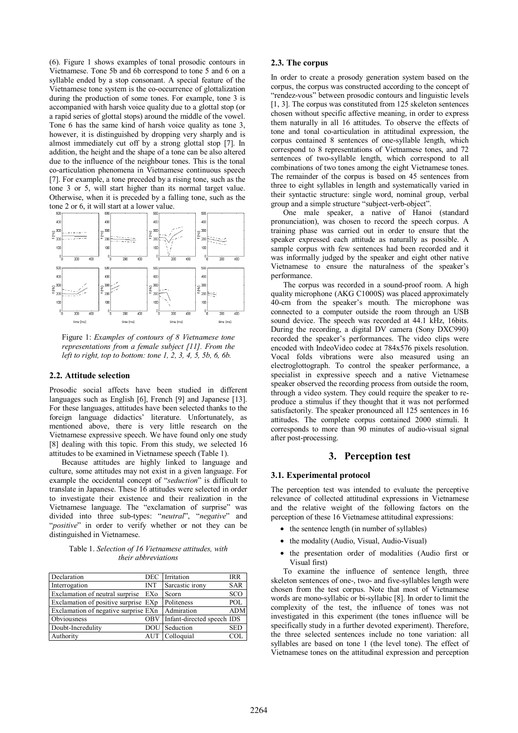(6). Figure 1 shows examples of tonal prosodic contours in Vietnamese. Tone 5b and 6b correspond to tone 5 and 6 on a syllable ended by a stop consonant. A special feature of the Vietnamese tone system is the co-occurrence of glottalization during the production of some tones. For example, tone 3 is accompanied with harsh voice quality due to a glottal stop (or a rapid series of glottal stops) around the middle of the vowel. Tone 6 has the same kind of harsh voice quality as tone 3, however, it is distinguished by dropping very sharply and is almost immediately cut off by a strong glottal stop [7]. In addition, the height and the shape of a tone can be also altered due to the influence of the neighbour tones. This is the tonal co-articulation phenomena in Vietnamese continuous speech [7]. For example, a tone preceded by a rising tone, such as the tone 3 or 5, will start higher than its normal target value. Otherwise, when it is preceded by a falling tone, such as the tone 2 or 6, it will start at a lower value.



Figure 1: *Examples of contours of 8 Vietnamese tone representations from a female subject [11]. From the left to right, top to bottom: tone 1, 2, 3, 4, 5, 5b, 6, 6b.*

### **2.2. Attitude selection**

Prosodic social affects have been studied in different languages such as English [6], French [9] and Japanese [13]. For these languages, attitudes have been selected thanks to the foreign language didactics' literature. Unfortunately, as mentioned above, there is very little research on the Vietnamese expressive speech. We have found only one study [8] dealing with this topic. From this study, we selected 16 attitudes to be examined in Vietnamese speech (Table 1).

Because attitudes are highly linked to language and culture, some attitudes may not exist in a given language. For example the occidental concept of "*seduction*" is difficult to translate in Japanese. These 16 attitudes were selected in order to investigate their existence and their realization in the Vietnamese language. The "exclamation of surprise" was divided into three sub-types: "*neutral*", "*negative*" and "*positive*" in order to verify whether or not they can be distinguished in Vietnamese.

Table 1. *Selection of 16 Vietnamese attitudes, with their abbreviations*

| Declaration                          | DEC        | Irritation                 | IRR        |
|--------------------------------------|------------|----------------------------|------------|
| Interrogation                        | <b>INT</b> | Sarcastic irony            | <b>SAR</b> |
| Exclamation of neutral surprise      | EXo        | Scorn                      | SCO        |
| Exclamation of positive surprise EXp |            | Politeness                 | POL        |
| Exclamation of negative surprise EXn |            | Admiration                 | <b>ADM</b> |
| Obviousness                          | <b>OBV</b> | Infant-directed speech IDS |            |
| Doubt-Incredulity                    | DOU        | Seduction                  | <b>SED</b> |
| Authority                            | AUT        | Colloquial                 | CO         |

#### **2.3. The corpus**

In order to create a prosody generation system based on the corpus, the corpus was constructed according to the concept of "rendez-vous" between prosodic contours and linguistic levels [1, 3]. The corpus was constituted from 125 skeleton sentences chosen without specific affective meaning, in order to express them naturally in all 16 attitudes. To observe the effects of tone and tonal co-articulation in attitudinal expression, the corpus contained 8 sentences of one-syllable length, which correspond to 8 representations of Vietnamese tones, and 72 sentences of two-syllable length, which correspond to all combinations of two tones among the eight Vietnamese tones. The remainder of the corpus is based on 45 sentences from three to eight syllables in length and systematically varied in their syntactic structure: single word, nominal group, verbal group and a simple structure "subject-verb-object".

One male speaker, a native of Hanoi (standard pronunciation), was chosen to record the speech corpus. A training phase was carried out in order to ensure that the speaker expressed each attitude as naturally as possible. A sample corpus with few sentences had been recorded and it was informally judged by the speaker and eight other native Vietnamese to ensure the naturalness of the speaker's performance.

The corpus was recorded in a sound-proof room. A high quality microphone (AKG C1000S) was placed approximately 40-cm from the speaker's mouth. The microphone was connected to a computer outside the room through an USB sound device. The speech was recorded at 44.1 kHz, 16bits. During the recording, a digital DV camera (Sony DXC990) recorded the speaker's performances. The video clips were encoded with IndeoVideo codec at 784x576 pixels resolution. Vocal folds vibrations were also measured using an electroglottograph. To control the speaker performance, a specialist in expressive speech and a native Vietnamese speaker observed the recording process from outside the room, through a video system. They could require the speaker to reproduce a stimulus if they thought that it was not performed satisfactorily. The speaker pronounced all 125 sentences in 16 attitudes. The complete corpus contained 2000 stimuli. It corresponds to more than 90 minutes of audio-visual signal after post-processing.

# **3. Perception test**

#### **3.1. Experimental protocol**

The perception test was intended to evaluate the perceptive relevance of collected attitudinal expressions in Vietnamese and the relative weight of the following factors on the perception of these 16 Vietnamese attitudinal expressions:

- the sentence length (in number of syllables)
- the modality (Audio, Visual, Audio-Visual)
- the presentation order of modalities (Audio first or Visual first)

To examine the influence of sentence length, three skeleton sentences of one-, two- and five-syllables length were chosen from the test corpus. Note that most of Vietnamese words are mono-syllabic or bi-syllabic [8]. In order to limit the complexity of the test, the influence of tones was not investigated in this experiment (the tones influence will be specifically study in a further devoted experiment). Therefore, the three selected sentences include no tone variation: all syllables are based on tone 1 (the level tone). The effect of Vietnamese tones on the attitudinal expression and perception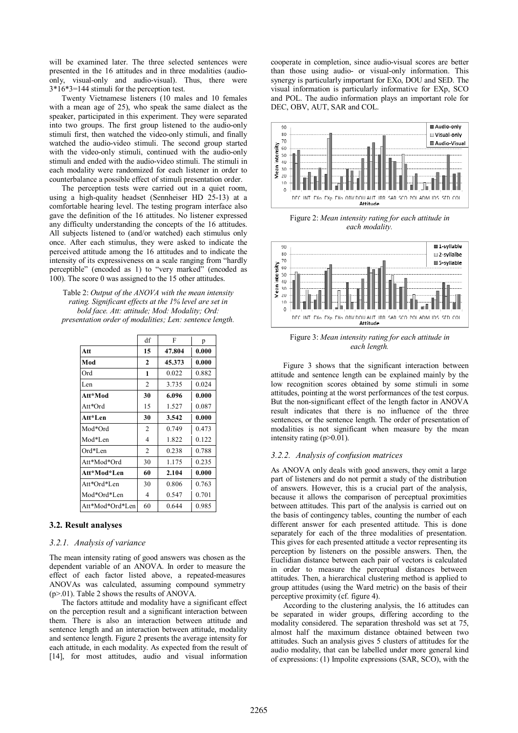will be examined later. The three selected sentences were presented in the 16 attitudes and in three modalities (audioonly, visual-only and audio-visual). Thus, there were 3\*16\*3=144 stimuli for the perception test.

Twenty Vietnamese listeners (10 males and 10 females with a mean age of 25), who speak the same dialect as the speaker, participated in this experiment. They were separated into two groups. The first group listened to the audio-only stimuli first, then watched the video-only stimuli, and finally watched the audio-video stimuli. The second group started with the video-only stimuli, continued with the audio-only stimuli and ended with the audio-video stimuli. The stimuli in each modality were randomized for each listener in order to counterbalance a possible effect of stimuli presentation order.

The perception tests were carried out in a quiet room, using a high-quality headset (Sennheiser HD 25-13) at a comfortable hearing level. The testing program interface also gave the definition of the 16 attitudes. No listener expressed any difficulty understanding the concepts of the 16 attitudes. All subjects listened to (and/or watched) each stimulus only once. After each stimulus, they were asked to indicate the perceived attitude among the 16 attitudes and to indicate the intensity of its expressiveness on a scale ranging from "hardly perceptible" (encoded as 1) to "very marked" (encoded as 100). The score 0 was assigned to the 15 other attitudes.

Table 2: *Output of the ANOVA with the mean intensity rating. Significant effects at the 1% level are set in bold face. Att: attitude; Mod: Modality; Ord: presentation order of modalities; Len: sentence length.*

|                 | df             | F      | p     |
|-----------------|----------------|--------|-------|
| Att             | 15             | 47.804 | 0.000 |
| Mod             | $\mathbf{2}$   | 45.373 | 0.000 |
| Ord             | 1              | 0.022  | 0.882 |
| Len             | $\overline{2}$ | 3.735  | 0.024 |
| Att*Mod         | 30             | 6.096  | 0.000 |
| Att*Ord         | 15             | 1.527  | 0.087 |
| Att*Len         | 30             | 3.542  | 0.000 |
| Mod*Ord         | $\overline{2}$ | 0.749  | 0.473 |
| Mod*Len         | 4              | 1.822  | 0.122 |
| Ord*Len         | $\overline{2}$ | 0.238  | 0.788 |
| Att*Mod*Ord     | 30             | 1.175  | 0.235 |
| Att*Mod*Len     | 60             | 2.104  | 0.000 |
| Att*Ord*Len     | 30             | 0.806  | 0.763 |
| Mod*Ord*Len     | $\overline{4}$ | 0.547  | 0.701 |
| Att*Mod*Ord*Len | 60             | 0.644  | 0.985 |

### **3.2. Result analyses**

### *3.2.1. Analysis of variance*

The mean intensity rating of good answers was chosen as the dependent variable of an ANOVA. In order to measure the effect of each factor listed above, a repeated-measures ANOVAs was calculated, assuming compound symmetry (p>.01). Table 2 shows the results of ANOVA.

The factors attitude and modality have a significant effect on the perception result and a significant interaction between them. There is also an interaction between attitude and sentence length and an interaction between attitude, modality and sentence length. Figure 2 presents the average intensity for each attitude, in each modality. As expected from the result of [14], for most attitudes, audio and visual information cooperate in completion, since audio-visual scores are better than those using audio- or visual-only information. This synergy is particularly important for EXo, DOU and SED. The visual information is particularly informative for EXp, SCO and POL. The audio information plays an important role for DEC, OBV, AUT, SAR and COL.



Figure 2: *Mean intensity rating for each attitude in each modality.* 



Figure 3: *Mean intensity rating for each attitude in each length.* 

Figure 3 shows that the significant interaction between attitude and sentence length can be explained mainly by the low recognition scores obtained by some stimuli in some attitudes, pointing at the worst performances of the test corpus. But the non-significant effect of the length factor in ANOVA result indicates that there is no influence of the three sentences, or the sentence length. The order of presentation of modalities is not significant when measure by the mean intensity rating (p>0.01).

# *3.2.2. Analysis of confusion matrices*

As ANOVA only deals with good answers, they omit a large part of listeners and do not permit a study of the distribution of answers. However, this is a crucial part of the analysis, because it allows the comparison of perceptual proximities between attitudes. This part of the analysis is carried out on the basis of contingency tables, counting the number of each different answer for each presented attitude. This is done separately for each of the three modalities of presentation. This gives for each presented attitude a vector representing its perception by listeners on the possible answers. Then, the Euclidian distance between each pair of vectors is calculated in order to measure the perceptual distances between attitudes. Then, a hierarchical clustering method is applied to group attitudes (using the Ward metric) on the basis of their perceptive proximity (cf. figure 4).

According to the clustering analysis, the 16 attitudes can be separated in wider groups, differing according to the modality considered. The separation threshold was set at 75, almost half the maximum distance obtained between two attitudes. Such an analysis gives 5 clusters of attitudes for the audio modality, that can be labelled under more general kind of expressions: (1) Impolite expressions (SAR, SCO), with the